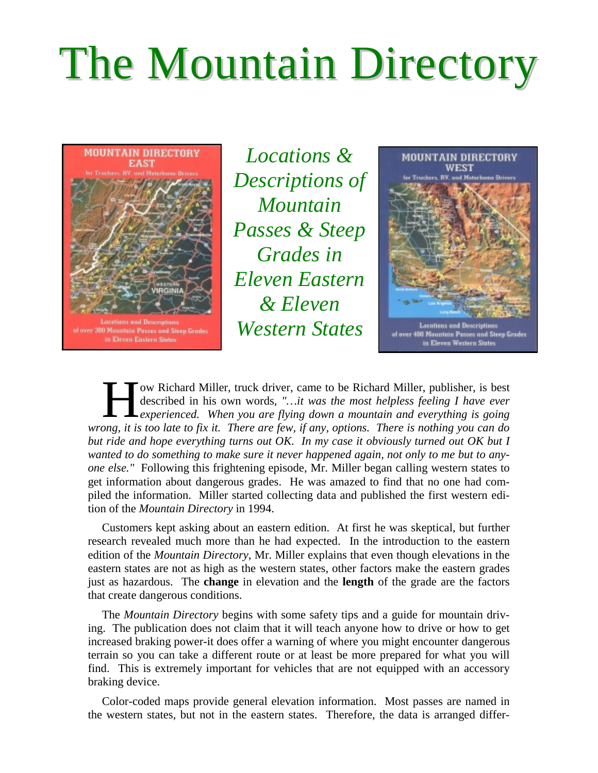## The Mountain Directory



*Locations & Descriptions of Mountain Passes & Steep Grades in Eleven Eastern & Eleven Western States*



ow Richard Miller, truck driver, came to be Richard Miller, publisher, is best described in his own words, *"…it was the most helpless feeling I have ever experienced. When you are flying down a mountain and everything is going* **W** Richard Miller, truck driver, came to be Richard Miller, publisher, is best described in his own words, "...it was the most helpless feeling I have ever experienced. When you are flying down a mountain and everything i *but ride and hope everything turns out OK. In my case it obviously turned out OK but I wanted to do something to make sure it never happened again, not only to me but to anyone else."* Following this frightening episode, Mr. Miller began calling western states to get information about dangerous grades. He was amazed to find that no one had compiled the information. Miller started collecting data and published the first western edition of the *Mountain Directory* in 1994.

Customers kept asking about an eastern edition. At first he was skeptical, but further research revealed much more than he had expected. In the introduction to the eastern edition of the *Mountain Directory*, Mr. Miller explains that even though elevations in the eastern states are not as high as the western states, other factors make the eastern grades just as hazardous. The **change** in elevation and the **length** of the grade are the factors that create dangerous conditions.

The *Mountain Directory* begins with some safety tips and a guide for mountain driving. The publication does not claim that it will teach anyone how to drive or how to get increased braking power-it does offer a warning of where you might encounter dangerous terrain so you can take a different route or at least be more prepared for what you will find. This is extremely important for vehicles that are not equipped with an accessory braking device.

Color-coded maps provide general elevation information. Most passes are named in the western states, but not in the eastern states. Therefore, the data is arranged differ